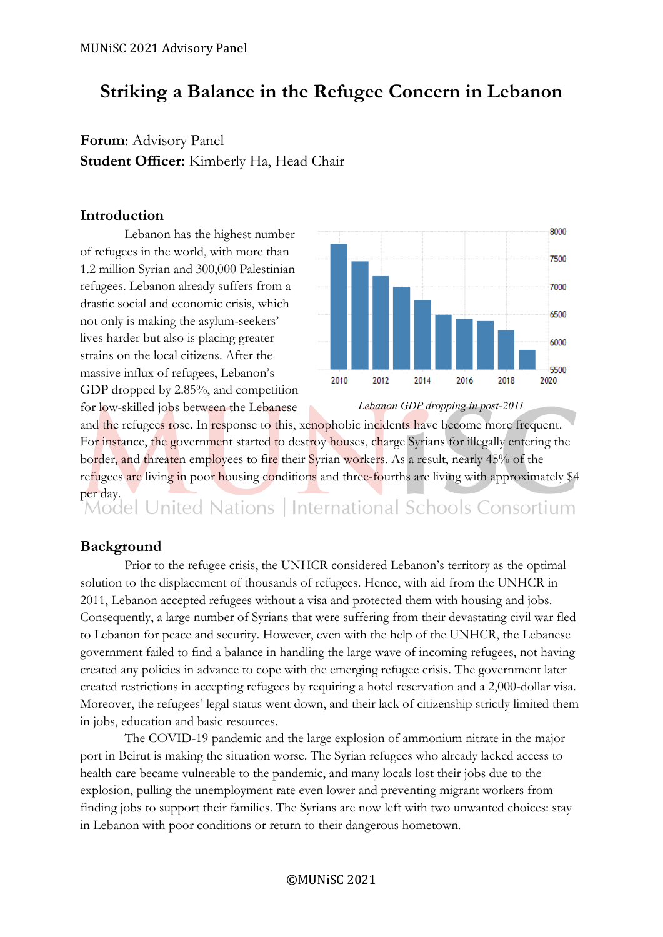# **Striking a Balance in the Refugee Concern in Lebanon**

## **Forum**: Advisory Panel **Student Officer:** Kimberly Ha, Head Chair

## **Introduction**

Lebanon has the highest number of refugees in the world, with more than 1.2 million Syrian and 300,000 Palestinian refugees. Lebanon already suffers from a drastic social and economic crisis, which not only is making the asylum-seekers' lives harder but also is placing greater strains on the local citizens. After the massive influx of refugees, Lebanon's GDP dropped by 2.85%, and competition for low-skilled jobs between the Lebanese



*Lebanon GDP dropping in post-2011*

and the refugees rose. In response to this, xenophobic incidents have become more frequent. For instance, the government started to destroy houses, charge Syrians for illegally entering the border, and threaten employees to fire their Syrian workers. As a result, nearly 45% of the refugees are living in poor housing conditions and three-fourths are living with approximately \$4 per day.<br>Model United Nations | International Schools Consortium

## **Background**

Prior to the refugee crisis, the UNHCR considered Lebanon's territory as the optimal solution to the displacement of thousands of refugees. Hence, with aid from the UNHCR in 2011, Lebanon accepted refugees without a visa and protected them with housing and jobs. Consequently, a large number of Syrians that were suffering from their devastating civil war fled to Lebanon for peace and security. However, even with the help of the UNHCR, the Lebanese government failed to find a balance in handling the large wave of incoming refugees, not having created any policies in advance to cope with the emerging refugee crisis. The government later created restrictions in accepting refugees by requiring a hotel reservation and a 2,000-dollar visa. Moreover, the refugees' legal status went down, and their lack of citizenship strictly limited them in jobs, education and basic resources.

The COVID-19 pandemic and the large explosion of ammonium nitrate in the major port in Beirut is making the situation worse. The Syrian refugees who already lacked access to health care became vulnerable to the pandemic, and many locals lost their jobs due to the explosion, pulling the unemployment rate even lower and preventing migrant workers from finding jobs to support their families. The Syrians are now left with two unwanted choices: stay in Lebanon with poor conditions or return to their dangerous hometown.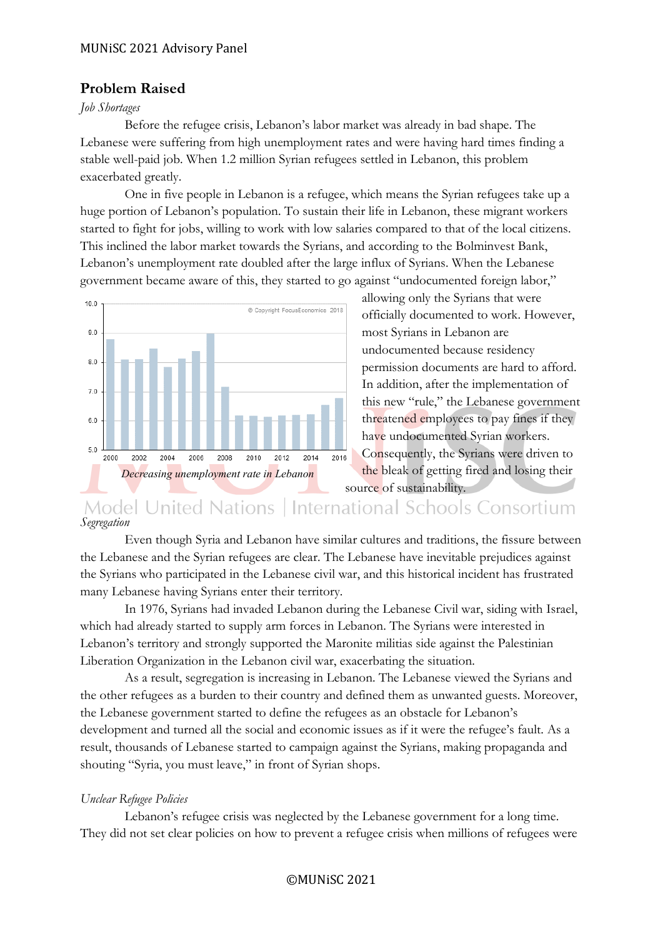## **Problem Raised**

#### *Job Shortages*

Before the refugee crisis, Lebanon's labor market was already in bad shape. The Lebanese were suffering from high unemployment rates and were having hard times finding a stable well-paid job. When 1.2 million Syrian refugees settled in Lebanon, this problem exacerbated greatly.

One in five people in Lebanon is a refugee, which means the Syrian refugees take up a huge portion of Lebanon's population. To sustain their life in Lebanon, these migrant workers started to fight for jobs, willing to work with low salaries compared to that of the local citizens. This inclined the labor market towards the Syrians, and according to the Bolminvest Bank, Lebanon's unemployment rate doubled after the large influx of Syrians. When the Lebanese government became aware of this, they started to go against "undocumented foreign labor,"



allowing only the Syrians that were officially documented to work. However, most Syrians in Lebanon are undocumented because residency permission documents are hard to afford. In addition, after the implementation of this new "rule," the Lebanese government threatened employees to pay fines if they have undocumented Syrian workers. Consequently, the Syrians were driven to the bleak of getting fired and losing their source of sustainability.

**Model United Nations** International Schools Consortium *Segregation*

Even though Syria and Lebanon have similar cultures and traditions, the fissure between the Lebanese and the Syrian refugees are clear. The Lebanese have inevitable prejudices against the Syrians who participated in the Lebanese civil war, and this historical incident has frustrated many Lebanese having Syrians enter their territory.

In 1976, Syrians had invaded Lebanon during the Lebanese Civil war, siding with Israel, which had already started to supply arm forces in Lebanon. The Syrians were interested in Lebanon's territory and strongly supported the Maronite militias side against the Palestinian Liberation Organization in the Lebanon civil war, exacerbating the situation.

As a result, segregation is increasing in Lebanon. The Lebanese viewed the Syrians and the other refugees as a burden to their country and defined them as unwanted guests. Moreover, the Lebanese government started to define the refugees as an obstacle for Lebanon's development and turned all the social and economic issues as if it were the refugee's fault. As a result, thousands of Lebanese started to campaign against the Syrians, making propaganda and shouting "Syria, you must leave," in front of Syrian shops.

#### *Unclear Refugee Policies*

Lebanon's refugee crisis was neglected by the Lebanese government for a long time. They did not set clear policies on how to prevent a refugee crisis when millions of refugees were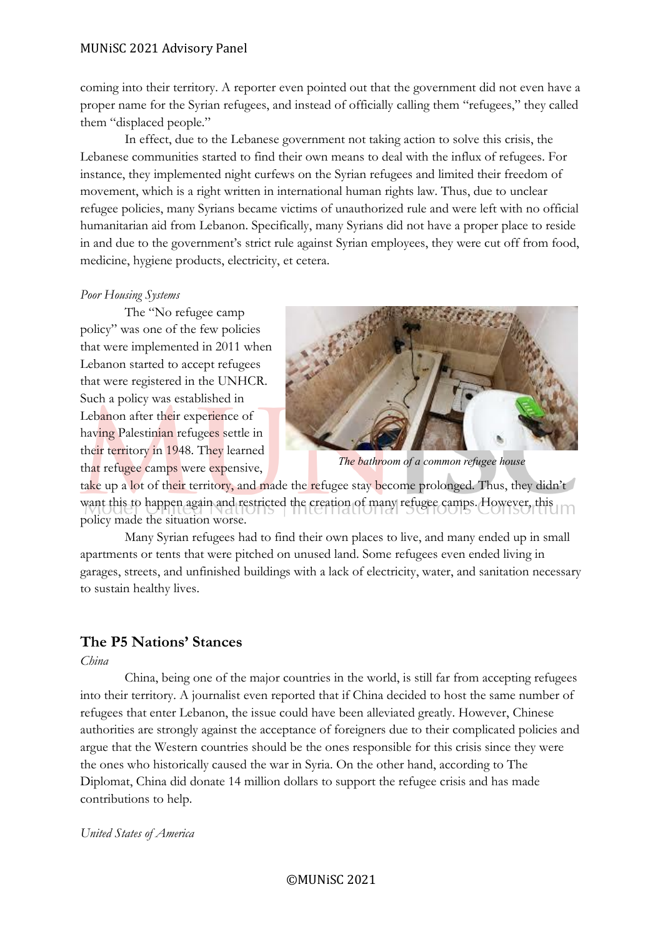#### MUNiSC 2021 Advisory Panel

coming into their territory. A reporter even pointed out that the government did not even have a proper name for the Syrian refugees, and instead of officially calling them "refugees," they called them "displaced people."

In effect, due to the Lebanese government not taking action to solve this crisis, the Lebanese communities started to find their own means to deal with the influx of refugees. For instance, they implemented night curfews on the Syrian refugees and limited their freedom of movement, which is a right written in international human rights law. Thus, due to unclear refugee policies, many Syrians became victims of unauthorized rule and were left with no official humanitarian aid from Lebanon. Specifically, many Syrians did not have a proper place to reside in and due to the government's strict rule against Syrian employees, they were cut off from food, medicine, hygiene products, electricity, et cetera.

#### *Poor Housing Systems*

The "No refugee camp policy" was one of the few policies that were implemented in 2011 when Lebanon started to accept refugees that were registered in the UNHCR. Such a policy was established in Lebanon after their experience of having Palestinian refugees settle in their territory in 1948. They learned that refugee camps were expensive,



*The bathroom of a common refugee house*

take up a lot of their territory, and made the refugee stay become prolonged. Thus, they didn't want this to happen again and restricted the creation of many refugee camps. However, this policy made the situation worse.

Many Syrian refugees had to find their own places to live, and many ended up in small apartments or tents that were pitched on unused land. Some refugees even ended living in garages, streets, and unfinished buildings with a lack of electricity, water, and sanitation necessary to sustain healthy lives.

## **The P5 Nations' Stances**

*China*

China, being one of the major countries in the world, is still far from accepting refugees into their territory. A journalist even reported that if China decided to host the same number of refugees that enter Lebanon, the issue could have been alleviated greatly. However, Chinese authorities are strongly against the acceptance of foreigners due to their complicated policies and argue that the Western countries should be the ones responsible for this crisis since they were the ones who historically caused the war in Syria. On the other hand, according to The Diplomat, China did donate 14 million dollars to support the refugee crisis and has made contributions to help.

*United States of America*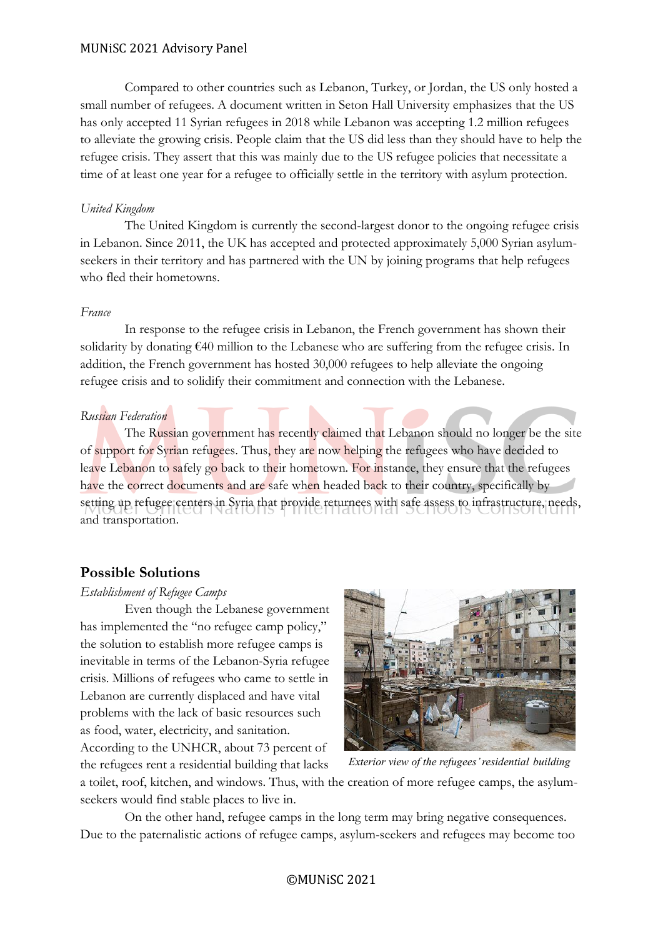#### MUNiSC 2021 Advisory Panel

Compared to other countries such as Lebanon, Turkey, or Jordan, the US only hosted a small number of refugees. A document written in Seton Hall University emphasizes that the US has only accepted 11 Syrian refugees in 2018 while Lebanon was accepting 1.2 million refugees to alleviate the growing crisis. People claim that the US did less than they should have to help the refugee crisis. They assert that this was mainly due to the US refugee policies that necessitate a time of at least one year for a refugee to officially settle in the territory with asylum protection.

#### *United Kingdom*

The United Kingdom is currently the second-largest donor to the ongoing refugee crisis in Lebanon. Since 2011, the UK has accepted and protected approximately 5,000 Syrian asylumseekers in their territory and has partnered with the UN by joining programs that help refugees who fled their hometowns.

#### *France*

In response to the refugee crisis in Lebanon, the French government has shown their solidarity by donating €40 million to the Lebanese who are suffering from the refugee crisis. In addition, the French government has hosted 30,000 refugees to help alleviate the ongoing refugee crisis and to solidify their commitment and connection with the Lebanese.

#### *Russian Federation*

The Russian government has recently claimed that Lebanon should no longer be the site of support for Syrian refugees. Thus, they are now helping the refugees who have decided to leave Lebanon to safely go back to their hometown. For instance, they ensure that the refugees have the correct documents and are safe when headed back to their country, specifically by setting up refugee centers in Syria that provide returnees with safe assess to infrastructure, needs, and transportation.

#### **Possible Solutions**

#### *Establishment of Refugee Camps*

Even though the Lebanese government has implemented the "no refugee camp policy," the solution to establish more refugee camps is inevitable in terms of the Lebanon-Syria refugee crisis. Millions of refugees who came to settle in Lebanon are currently displaced and have vital problems with the lack of basic resources such as food, water, electricity, and sanitation. According to the UNHCR, about 73 percent of the refugees rent a residential building that lacks



*Exterior view of the refugees' residential building*

a toilet, roof, kitchen, and windows. Thus, with the creation of more refugee camps, the asylumseekers would find stable places to live in.

On the other hand, refugee camps in the long term may bring negative consequences. Due to the paternalistic actions of refugee camps, asylum-seekers and refugees may become too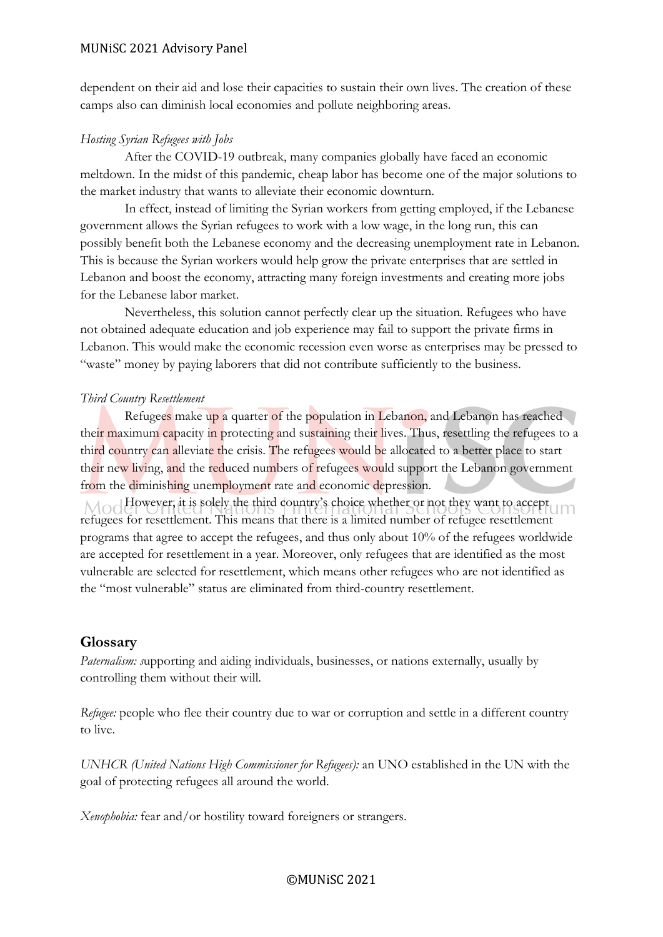#### MUNiSC 2021 Advisory Panel

dependent on their aid and lose their capacities to sustain their own lives. The creation of these camps also can diminish local economies and pollute neighboring areas.

#### *Hosting Syrian Refugees with Jobs*

After the COVID-19 outbreak, many companies globally have faced an economic meltdown. In the midst of this pandemic, cheap labor has become one of the major solutions to the market industry that wants to alleviate their economic downturn.

In effect, instead of limiting the Syrian workers from getting employed, if the Lebanese government allows the Syrian refugees to work with a low wage, in the long run, this can possibly benefit both the Lebanese economy and the decreasing unemployment rate in Lebanon. This is because the Syrian workers would help grow the private enterprises that are settled in Lebanon and boost the economy, attracting many foreign investments and creating more jobs for the Lebanese labor market.

Nevertheless, this solution cannot perfectly clear up the situation. Refugees who have not obtained adequate education and job experience may fail to support the private firms in Lebanon. This would make the economic recession even worse as enterprises may be pressed to "waste" money by paying laborers that did not contribute sufficiently to the business.

#### *Third Country Resettlement*

Refugees make up a quarter of the population in Lebanon, and Lebanon has reached their maximum capacity in protecting and sustaining their lives. Thus, resettling the refugees to a third country can alleviate the crisis. The refugees would be allocated to a better place to start their new living, and the reduced numbers of refugees would support the Lebanon government from the diminishing unemployment rate and economic depression.

Mod However, it is solely the third country's choice whether or not they want to accept refugees for resettlement. This means that there is a limited number of refugee resettlement programs that agree to accept the refugees, and thus only about 10% of the refugees worldwide are accepted for resettlement in a year. Moreover, only refugees that are identified as the most vulnerable are selected for resettlement, which means other refugees who are not identified as the "most vulnerable" status are eliminated from third-country resettlement.

## **Glossary**

*Paternalism: s*upporting and aiding individuals, businesses, or nations externally, usually by controlling them without their will.

*Refugee:* people who flee their country due to war or corruption and settle in a different country to live.

*UNHCR (United Nations High Commissioner for Refugees):* an UNO established in the UN with the goal of protecting refugees all around the world.

*Xenophobia:* fear and/or hostility toward foreigners or strangers.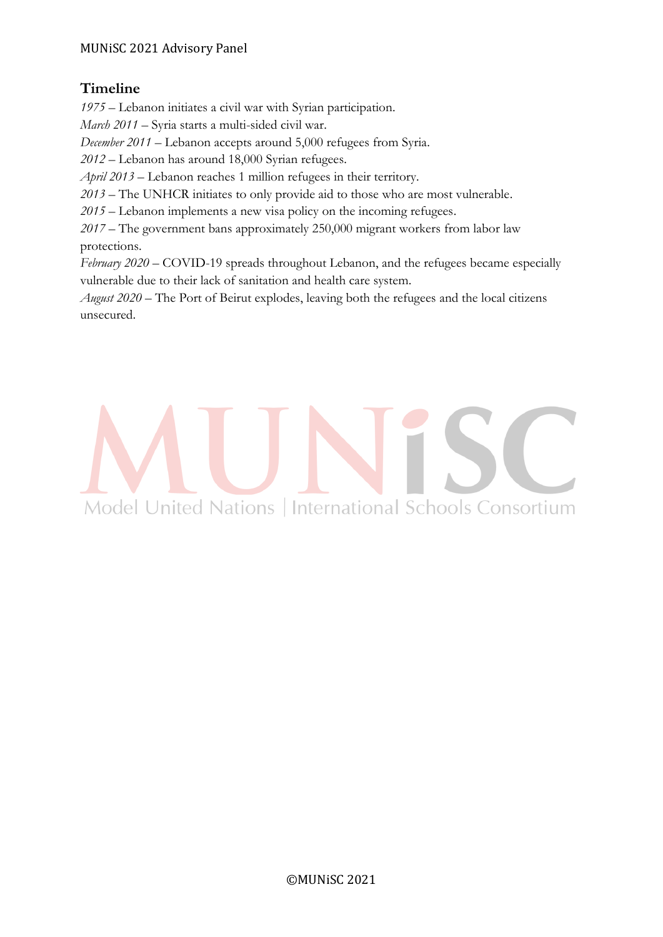## **Timeline**

*1975 –* Lebanon initiates a civil war with Syrian participation.

*March 2011* – Syria starts a multi-sided civil war.

*December 2011 –* Lebanon accepts around 5,000 refugees from Syria.

*2012 –* Lebanon has around 18,000 Syrian refugees.

*April 2013* – Lebanon reaches 1 million refugees in their territory.

*2013* – The UNHCR initiates to only provide aid to those who are most vulnerable.

*2015* – Lebanon implements a new visa policy on the incoming refugees.

*2017 –* The government bans approximately 250,000 migrant workers from labor law protections.

*February 2020* – COVID-19 spreads throughout Lebanon, and the refugees became especially vulnerable due to their lack of sanitation and health care system.

*August 2020 –* The Port of Beirut explodes, leaving both the refugees and the local citizens unsecured.

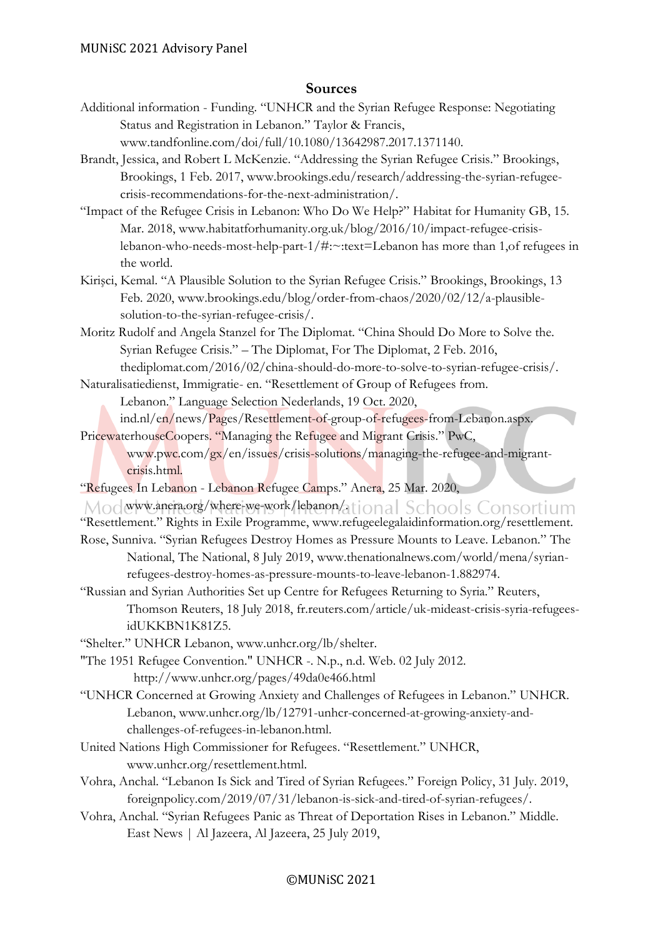#### **Sources**

- Additional information Funding. "UNHCR and the Syrian Refugee Response: Negotiating Status and Registration in Lebanon." Taylor & Francis, www.tandfonline.com/doi/full/10.1080/13642987.2017.1371140.
- Brandt, Jessica, and Robert L McKenzie. "Addressing the Syrian Refugee Crisis." Brookings, Brookings, 1 Feb. 2017, www.brookings.edu/research/addressing-the-syrian-refugeecrisis-recommendations-for-the-next-administration/.
- "Impact of the Refugee Crisis in Lebanon: Who Do We Help?" Habitat for Humanity GB, 15. Mar. 2018, www.habitatforhumanity.org.uk/blog/2016/10/impact-refugee-crisislebanon-who-needs-most-help-part-1/#:~:text=Lebanon has more than 1,of refugees in the world.
- Kirişci, Kemal. "A Plausible Solution to the Syrian Refugee Crisis." Brookings, Brookings, 13 Feb. 2020, www.brookings.edu/blog/order-from-chaos/2020/02/12/a-plausiblesolution-to-the-syrian-refugee-crisis/.
- Moritz Rudolf and Angela Stanzel for The Diplomat. "China Should Do More to Solve the. Syrian Refugee Crisis." – The Diplomat, For The Diplomat, 2 Feb. 2016,

thediplomat.com/2016/02/china-should-do-more-to-solve-to-syrian-refugee-crisis/. Naturalisatiedienst, Immigratie- en. "Resettlement of Group of Refugees from.

Lebanon." Language Selection Nederlands, 19 Oct. 2020,

ind.nl/en/news/Pages/Resettlement-of-group-of-refugees-from-Lebanon.aspx. PricewaterhouseCoopers. "Managing the Refugee and Migrant Crisis." PwC,

- www.pwc.com/gx/en/issues/crisis-solutions/managing-the-refugee-and-migrantcrisis.html.
- "Refugees In Lebanon Lebanon Refugee Camps." Anera, 25 Mar. 2020,

Modwww.anera.org/where-we-work/lebanon/ational Schools Consortium "Resettlement." Rights in Exile Programme, www.refugeelegalaidinformation.org/resettlement. Rose, Sunniva. "Syrian Refugees Destroy Homes as Pressure Mounts to Leave. Lebanon." The National, The National, 8 July 2019, www.thenationalnews.com/world/mena/syrianrefugees-destroy-homes-as-pressure-mounts-to-leave-lebanon-1.882974.

- "Russian and Syrian Authorities Set up Centre for Refugees Returning to Syria." Reuters, Thomson Reuters, 18 July 2018, fr.reuters.com/article/uk-mideast-crisis-syria-refugeesidUKKBN1K81Z5.
- "Shelter." UNHCR Lebanon, www.unhcr.org/lb/shelter.
- "The 1951 Refugee Convention." UNHCR -. N.p., n.d. Web. 02 July 2012. http://www.unhcr.org/pages/49da0e466.html
- "UNHCR Concerned at Growing Anxiety and Challenges of Refugees in Lebanon." UNHCR. Lebanon, www.unhcr.org/lb/12791-unhcr-concerned-at-growing-anxiety-andchallenges-of-refugees-in-lebanon.html.
- United Nations High Commissioner for Refugees. "Resettlement." UNHCR, www.unhcr.org/resettlement.html.
- Vohra, Anchal. "Lebanon Is Sick and Tired of Syrian Refugees." Foreign Policy, 31 July. 2019, foreignpolicy.com/2019/07/31/lebanon-is-sick-and-tired-of-syrian-refugees/.
- Vohra, Anchal. "Syrian Refugees Panic as Threat of Deportation Rises in Lebanon." Middle. East News | Al Jazeera, Al Jazeera, 25 July 2019,